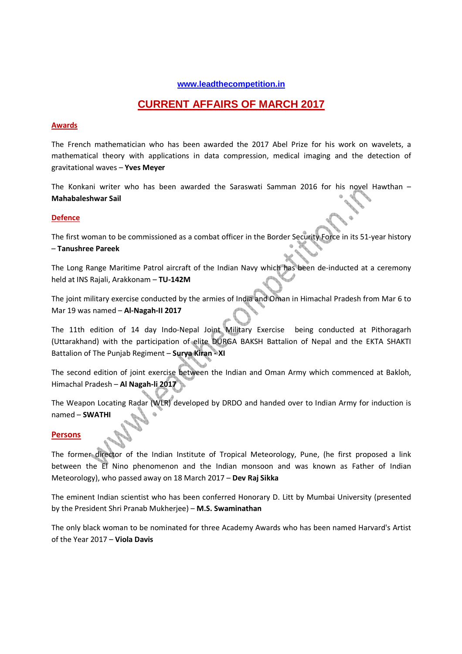#### **www.leadthecompetition.in**

# **CURRENT AFFAIRS OF MARCH 2017**

#### **Awards**

The French mathematician who has been awarded the 2017 Abel Prize for his work on wavelets, a mathematical theory with applications in data compression, medical imaging and the detection of gravitational waves – **Yves Meyer**

The Konkani writer who has been awarded the Saraswati Samman 2016 for his novel Hawthan – **Mahabaleshwar Sail** 

#### **Defence**

The first woman to be commissioned as a combat officer in the Border Security Force in its 51-year history – **Tanushree Pareek** 

The Long Range Maritime Patrol aircraft of the Indian Navy which has been de-inducted at a ceremony held at INS Rajali, Arakkonam – **TU-142M** 

The joint military exercise conducted by the armies of India and Oman in Himachal Pradesh from Mar 6 to Mar 19 was named – **Al-Nagah-II 2017**

The 11th edition of 14 day Indo-Nepal Joint Military Exercise being conducted at Pithoragarh (Uttarakhand) with the participation of elite DURGA BAKSH Battalion of Nepal and the EKTA SHAKTI Battalion of The Punjab Regiment – **Surya Kiran - XI** 

The second edition of joint exercise between the Indian and Oman Army which commenced at Bakloh, Himachal Pradesh – **Al Nagah-li 2017** 

The Weapon Locating Radar (WLR) developed by DRDO and handed over to Indian Army for induction is named – **SWATHI** 

#### **Persons**

The former director of the Indian Institute of Tropical Meteorology, Pune, (he first proposed a link between the El Nino phenomenon and the Indian monsoon and was known as Father of Indian Meteorology), who passed away on 18 March 2017 – **Dev Raj Sikka**

The eminent Indian scientist who has been conferred Honorary D. Litt by Mumbai University (presented by the President Shri Pranab Mukherjee) – **M.S. Swaminathan** 

The only black woman to be nominated for three Academy Awards who has been named Harvard's Artist of the Year 2017 – **Viola Davis**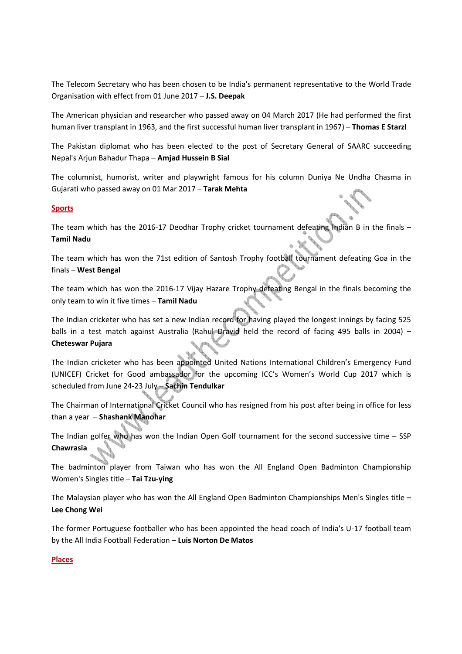The Telecom Secretary who has been chosen to be India's permanent representative to the World Trade Organisation with effect from 01 June 2017 – **J.S. Deepak** 

The American physician and researcher who passed away on 04 March 2017 (He had performed the first human liver transplant in 1963, and the first successful human liver transplant in 1967) – **Thomas E Starzl**

The Pakistan diplomat who has been elected to the post of Secretary General of SAARC succeeding Nepal's Arjun Bahadur Thapa – **Amjad Hussein B Sial**

The columnist, humorist, writer and playwright famous for his column Duniya Ne Undha Chasma in Gujarati who passed away on 01 Mar 2017 – **Tarak Mehta** 

#### **Sports**

The team which has the 2016-17 Deodhar Trophy cricket tournament defeating Indian B in the finals -**Tamil Nadu** 

The team which has won the 71st edition of Santosh Trophy football tournament defeating Goa in the finals – **West Bengal** 

The team which has won the 2016-17 Vijay Hazare Trophy defeating Bengal in the finals becoming the only team to win it five times – **Tamil Nadu**

The Indian cricketer who has set a new Indian record for having played the longest innings by facing 525 balls in a test match against Australia (Rahul Dravid held the record of facing 495 balls in 2004) -**Cheteswar Pujara** 

The Indian cricketer who has been appointed United Nations International Children's Emergency Fund (UNICEF) Cricket for Good ambassador for the upcoming ICC's Women's World Cup 2017 which is scheduled from June 24-23 July – **Sachin Tendulkar**

The Chairman of International Cricket Council who has resigned from his post after being in office for less than a year – **Shashank Manohar**

The Indian golfer who has won the Indian Open Golf tournament for the second successive time – SSP **Chawrasia** 

The badminton player from Taiwan who has won the All England Open Badminton Championship Women's Singles title – **Tai Tzu-ying** 

The Malaysian player who has won the All England Open Badminton Championships Men's Singles title – **Lee Chong Wei**

The former Portuguese footballer who has been appointed the head coach of India's U-17 football team by the All India Football Federation – **Luis Norton De Matos**

#### **Places**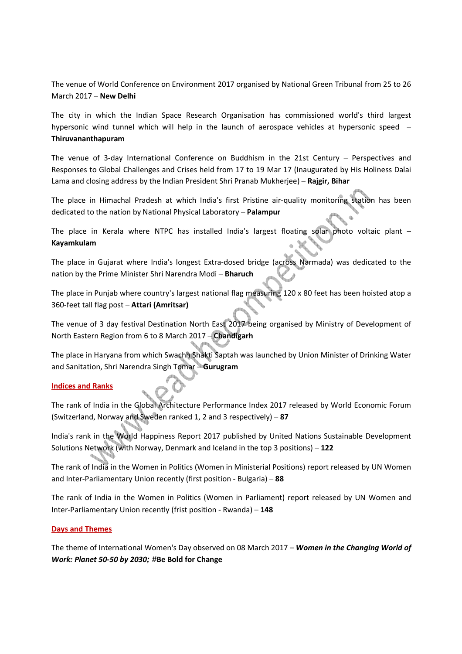The venue of World Conference on Environment 2017 organised by National Green Tribunal from 25 to 26 March 2017 – **New Delhi** 

The city in which the Indian Space Research Organisation has commissioned world's third largest hypersonic wind tunnel which will help in the launch of aerospace vehicles at hypersonic speed – **Thiruvananthapuram**

The venue of 3-day International Conference on Buddhism in the 21st Century – Perspectives and Responses to Global Challenges and Crises held from 17 to 19 Mar 17 (Inaugurated by His Holiness Dalai Lama and closing address by the Indian President Shri Pranab Mukherjee) – **Rajgir, Bihar**

The place in Himachal Pradesh at which India's first Pristine air-quality monitoring station has been dedicated to the nation by National Physical Laboratory – **Palampur** 

The place in Kerala where NTPC has installed India's largest floating solar photo voltaic plant – **Kayamkulam**

The place in Gujarat where India's longest Extra-dosed bridge (across Narmada) was dedicated to the nation by the Prime Minister Shri Narendra Modi – **Bharuch** 

The place in Punjab where country's largest national flag measuring 120 x 80 feet has been hoisted atop a 360-feet tall flag post – **Attari (Amritsar)**

The venue of 3 day festival Destination North East 2017 being organised by Ministry of Development of North Eastern Region from 6 to 8 March 2017 – **Chandigarh** 

The place in Haryana from which Swachh Shakti Saptah was launched by Union Minister of Drinking Water and Sanitation, Shri Narendra Singh Tomar – **Gurugram** 

#### **Indices and Ranks**

The rank of India in the Global Architecture Performance Index 2017 released by World Economic Forum (Switzerland, Norway and Sweden ranked 1, 2 and 3 respectively) – **87** 

India's rank in the World Happiness Report 2017 published by United Nations Sustainable Development Solutions Network (with Norway, Denmark and Iceland in the top 3 positions) – **122**

The rank of India in the Women in Politics (Women in Ministerial Positions) report released by UN Women and Inter-Parliamentary Union recently (first position - Bulgaria) – **88**

The rank of India in the Women in Politics (Women in Parliament) report released by UN Women and Inter-Parliamentary Union recently (frist position - Rwanda) – **148**

#### **Days and Themes**

The theme of International Women's Day observed on 08 March 2017 – *Women in the Changing World of Work: Planet 50-50 by 2030***; #Be Bold for Change**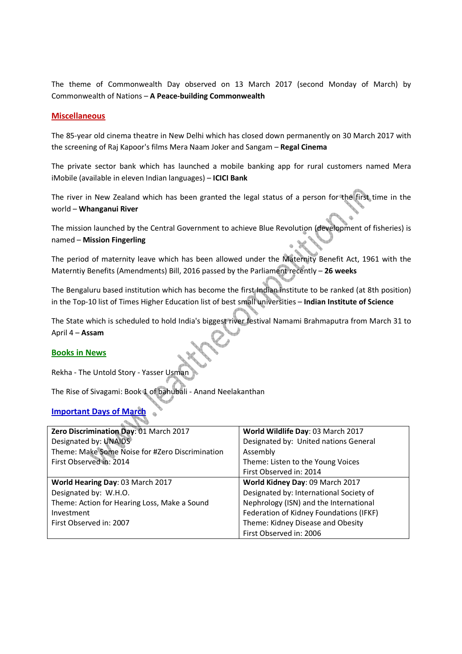The theme of Commonwealth Day observed on 13 March 2017 (second Monday of March) by Commonwealth of Nations – **A Peace-building Commonwealth** 

#### **Miscellaneous**

The 85-year old cinema theatre in New Delhi which has closed down permanently on 30 March 2017 with the screening of Raj Kapoor's films Mera Naam Joker and Sangam – **Regal Cinema**

The private sector bank which has launched a mobile banking app for rural customers named Mera iMobile (available in eleven Indian languages) – **ICICI Bank**

The river in New Zealand which has been granted the legal status of a person for the first time in the world – **Whanganui River**

The mission launched by the Central Government to achieve Blue Revolution (development of fisheries) is named – **Mission Fingerling**

The period of maternity leave which has been allowed under the Maternity Benefit Act, 1961 with the Materntiy Benefits (Amendments) Bill, 2016 passed by the Parliament recently – **26 weeks**

The Bengaluru based institution which has become the first Indian institute to be ranked (at 8th position) in the Top-10 list of Times Higher Education list of best small universities – **Indian Institute of Science**

The State which is scheduled to hold India's biggest river festival Namami Brahmaputra from March 31 to April 4 – **Assam** 

#### **Books in News**

Rekha - The Untold Story - Yasser Usman

The Rise of Sivagami: Book 1 of bahubali - Anand Neelakanthan

### **Important Days of March**

| Zero Discrimination Day: 01 March 2017          | World Wildlife Day: 03 March 2017       |
|-------------------------------------------------|-----------------------------------------|
| Designated by: UNAIDS                           | Designated by: United nations General   |
| Theme: Make Some Noise for #Zero Discrimination | Assembly                                |
| First Observed in: 2014                         | Theme: Listen to the Young Voices       |
|                                                 | First Observed in: 2014                 |
| World Hearing Day: 03 March 2017                | World Kidney Day: 09 March 2017         |
| Designated by: W.H.O.                           | Designated by: International Society of |
| Theme: Action for Hearing Loss, Make a Sound    | Nephrology (ISN) and the International  |
| Investment                                      | Federation of Kidney Foundations (IFKF) |
| First Observed in: 2007                         | Theme: Kidney Disease and Obesity       |
|                                                 | First Observed in: 2006                 |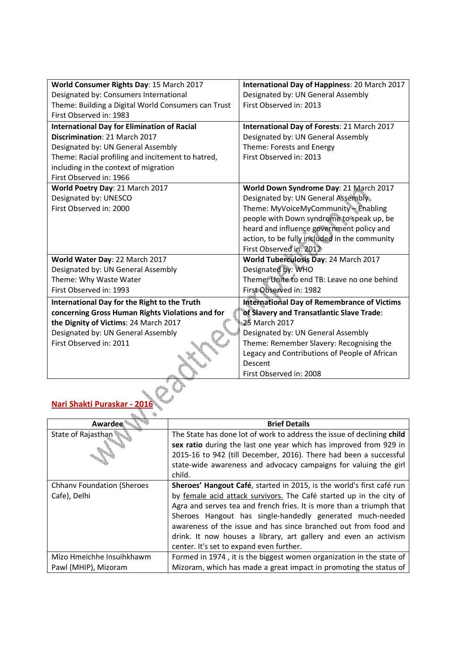| World Consumer Rights Day: 15 March 2017            | International Day of Happiness: 20 March 2017      |
|-----------------------------------------------------|----------------------------------------------------|
| Designated by: Consumers International              | Designated by: UN General Assembly                 |
| Theme: Building a Digital World Consumers can Trust | First Observed in: 2013                            |
| First Observed in: 1983                             |                                                    |
| <b>International Day for Elimination of Racial</b>  | International Day of Forests: 21 March 2017        |
| Discrimination: 21 March 2017                       | Designated by: UN General Assembly                 |
| Designated by: UN General Assembly                  | Theme: Forests and Energy                          |
| Theme: Racial profiling and incitement to hatred,   | First Observed in: 2013                            |
| including in the context of migration               |                                                    |
| First Observed in: 1966                             |                                                    |
| World Poetry Day: 21 March 2017                     | World Down Syndrome Day: 21 March 2017             |
| Designated by: UNESCO                               | Designated by: UN General Assembly                 |
| First Observed in: 2000                             | Theme: MyVoiceMyCommunity - Enabling               |
|                                                     | people with Down syndrome to speak up, be          |
|                                                     | heard and influence government policy and          |
|                                                     | action, to be fully included in the community      |
|                                                     | First Observed in: 2012                            |
| World Water Day: 22 March 2017                      | World Tuberculosis Day: 24 March 2017              |
| Designated by: UN General Assembly                  | Designated by: WHO                                 |
| Theme: Why Waste Water                              | Theme: Unite to end TB: Leave no one behind        |
| First Observed in: 1993                             | First Observed in: 1982                            |
| International Day for the Right to the Truth        | <b>International Day of Remembrance of Victims</b> |
| concerning Gross Human Rights Violations and for    | of Slavery and Transatlantic Slave Trade:          |
| the Dignity of Victims: 24 March 2017               | 25 March 2017                                      |
| Designated by: UN General Assembly                  | Designated by: UN General Assembly                 |
| First Observed in: 2011                             | Theme: Remember Slavery: Recognising the           |
|                                                     | Legacy and Contributions of People of African      |
|                                                     | Descent                                            |
|                                                     | First Observed in: 2008                            |
|                                                     |                                                    |

| Awardee                                           | <b>Brief Details</b>                                                                                                                                                                                                                                                                                                                                                                                                                                                 |
|---------------------------------------------------|----------------------------------------------------------------------------------------------------------------------------------------------------------------------------------------------------------------------------------------------------------------------------------------------------------------------------------------------------------------------------------------------------------------------------------------------------------------------|
| State of Rajasthan                                | The State has done lot of work to address the issue of declining child<br>sex ratio during the last one year which has improved from 929 in<br>2015-16 to 942 (till December, 2016). There had been a successful<br>state-wide awareness and advocacy campaigns for valuing the girl<br>child.                                                                                                                                                                       |
| <b>Chhanv Foundation (Sheroes</b><br>Cafe), Delhi | Sheroes' Hangout Café, started in 2015, is the world's first café run<br>by female acid attack survivors. The Café started up in the city of<br>Agra and serves tea and french fries. It is more than a triumph that<br>Sheroes Hangout has single-handedly generated much-needed<br>awareness of the issue and has since branched out from food and<br>drink. It now houses a library, art gallery and even an activism<br>center. It's set to expand even further. |
| Mizo Hmeichhe Insuihkhawm                         | Formed in 1974, it is the biggest women organization in the state of                                                                                                                                                                                                                                                                                                                                                                                                 |
| Pawl (MHIP), Mizoram                              | Mizoram, which has made a great impact in promoting the status of                                                                                                                                                                                                                                                                                                                                                                                                    |

**Nari Shakti Puraskar - 2016**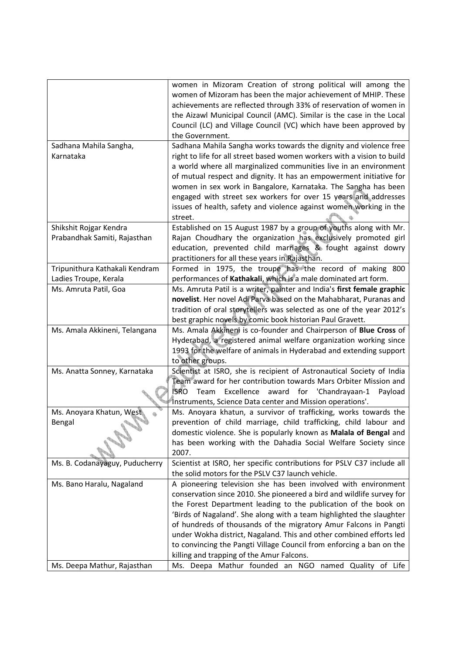|                                | women in Mizoram Creation of strong political will among the             |
|--------------------------------|--------------------------------------------------------------------------|
|                                | women of Mizoram has been the major achievement of MHIP. These           |
|                                | achievements are reflected through 33% of reservation of women in        |
|                                | the Aizawl Municipal Council (AMC). Similar is the case in the Local     |
|                                | Council (LC) and Village Council (VC) which have been approved by        |
|                                | the Government.                                                          |
| Sadhana Mahila Sangha,         | Sadhana Mahila Sangha works towards the dignity and violence free        |
| Karnataka                      | right to life for all street based women workers with a vision to build  |
|                                | a world where all marginalized communities live in an environment        |
|                                | of mutual respect and dignity. It has an empowerment initiative for      |
|                                | women in sex work in Bangalore, Karnataka. The Sangha has been           |
|                                | engaged with street sex workers for over 15 years and addresses          |
|                                | issues of health, safety and violence against women working in the       |
|                                | street.                                                                  |
| Shikshit Rojgar Kendra         | Established on 15 August 1987 by a group of youths along with Mr.        |
| Prabandhak Samiti, Rajasthan   | Rajan Choudhary the organization has exclusively promoted girl           |
|                                | education, prevented child marriages & fought against dowry              |
|                                | practitioners for all these years in Rajasthan.                          |
| Tripunithura Kathakali Kendram | Formed in 1975, the troupe has the record of making 800                  |
| Ladies Troupe, Kerala          | performances of Kathakali, which is a male dominated art form.           |
| Ms. Amruta Patil, Goa          | Ms. Amruta Patil is a writer, painter and India's first female graphic   |
|                                | novelist. Her novel Adi Parva based on the Mahabharat, Puranas and       |
|                                | tradition of oral storytellers was selected as one of the year 2012's    |
|                                | best graphic novels by comic book historian Paul Gravett.                |
| Ms. Amala Akkineni, Telangana  | Ms. Amala Akkineni is co-founder and Chairperson of Blue Cross of        |
|                                | Hyderabad, a registered animal welfare organization working since        |
|                                | 1993 for the welfare of animals in Hyderabad and extending support       |
|                                | to other groups.                                                         |
| Ms. Anatta Sonney, Karnataka   | Scientist at ISRO, she is recipient of Astronautical Society of India    |
|                                | Team award for her contribution towards Mars Orbiter Mission and         |
|                                | <b>ISRO</b><br>Excellence<br>award for 'Chandrayaan-1<br>Team<br>Payload |
|                                | Instruments, Science Data center and Mission operations'.                |
| Ms. Anoyara Khatun, West       | Ms. Anoyara khatun, a survivor of trafficking, works towards the         |
| Bengal                         | prevention of child marriage, child trafficking, child labour and        |
|                                | domestic violence. She is popularly known as Malala of Bengal and        |
|                                | has been working with the Dahadia Social Welfare Society since           |
|                                | 2007.                                                                    |
| Ms. B. Codanayaguy, Puducherry | Scientist at ISRO, her specific contributions for PSLV C37 include all   |
|                                | the solid motors for the PSLV C37 launch vehicle.                        |
| Ms. Bano Haralu, Nagaland      | A pioneering television she has been involved with environment           |
|                                | conservation since 2010. She pioneered a bird and wildlife survey for    |
|                                | the Forest Department leading to the publication of the book on          |
|                                | 'Birds of Nagaland'. She along with a team highlighted the slaughter     |
|                                | of hundreds of thousands of the migratory Amur Falcons in Pangti         |
|                                | under Wokha district, Nagaland. This and other combined efforts led      |
|                                | to convincing the Pangti Village Council from enforcing a ban on the     |
|                                | killing and trapping of the Amur Falcons.                                |
| Ms. Deepa Mathur, Rajasthan    | Ms. Deepa Mathur founded an NGO named Quality of Life                    |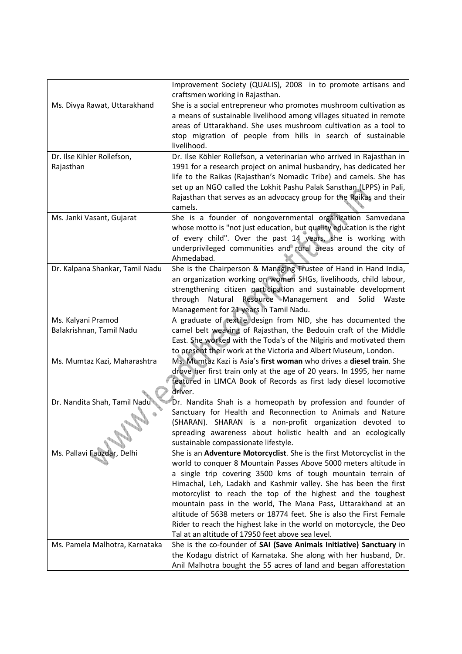|                                 | Improvement Society (QUALIS), 2008 in to promote artisans and          |
|---------------------------------|------------------------------------------------------------------------|
|                                 | craftsmen working in Rajasthan.                                        |
| Ms. Divya Rawat, Uttarakhand    | She is a social entrepreneur who promotes mushroom cultivation as      |
|                                 | a means of sustainable livelihood among villages situated in remote    |
|                                 | areas of Uttarakhand. She uses mushroom cultivation as a tool to       |
|                                 | stop migration of people from hills in search of sustainable           |
|                                 | livelihood.                                                            |
| Dr. Ilse Kihler Rollefson,      | Dr. Ilse Köhler Rollefson, a veterinarian who arrived in Rajasthan in  |
| Rajasthan                       | 1991 for a research project on animal husbandry, has dedicated her     |
|                                 | life to the Raikas (Rajasthan's Nomadic Tribe) and camels. She has     |
|                                 | set up an NGO called the Lokhit Pashu Palak Sansthan (LPPS) in Pali,   |
|                                 | Rajasthan that serves as an advocacy group for the Raikas and their    |
|                                 | camels.                                                                |
| Ms. Janki Vasant, Gujarat       | She is a founder of nongovernmental organization Samvedana             |
|                                 | whose motto is "not just education, but quality education is the right |
|                                 | of every child". Over the past 14 years, she is working with           |
|                                 | underprivileged communities and rural areas around the city of         |
|                                 | Ahmedabad.                                                             |
| Dr. Kalpana Shankar, Tamil Nadu | She is the Chairperson & Managing Trustee of Hand in Hand India,       |
|                                 | an organization working on women SHGs, livelihoods, child labour,      |
|                                 | strengthening citizen participation and sustainable development        |
|                                 | Natural Resource Management<br>through<br>Solid<br>and<br>Waste        |
|                                 | Management for 21 years in Tamil Nadu.                                 |
| Ms. Kalyani Pramod              | A graduate of textile design from NID, she has documented the          |
| Balakrishnan, Tamil Nadu        | camel belt weaving of Rajasthan, the Bedouin craft of the Middle       |
|                                 | East. She worked with the Toda's of the Nilgiris and motivated them    |
|                                 | to present their work at the Victoria and Albert Museum, London.       |
| Ms. Mumtaz Kazi, Maharashtra    | Ms. Mumtaz Kazi is Asia's first woman who drives a diesel train. She   |
|                                 | drove her first train only at the age of 20 years. In 1995, her name   |
|                                 | featured in LIMCA Book of Records as first lady diesel locomotive      |
|                                 | driver.                                                                |
| Dr. Nandita Shah, Tamil Nadu    | Dr. Nandita Shah is a homeopath by profession and founder of           |
|                                 | Sanctuary for Health and Reconnection to Animals and Nature            |
|                                 | (SHARAN). SHARAN is a non-profit organization devoted to               |
|                                 | spreading awareness about holistic health and an ecologically          |
|                                 | sustainable compassionate lifestyle.                                   |
| Ms. Pallavi Fauzdar, Delhi      | She is an Adventure Motorcyclist. She is the first Motorcyclist in the |
|                                 | world to conquer 8 Mountain Passes Above 5000 meters altitude in       |
|                                 | a single trip covering 3500 kms of tough mountain terrain of           |
|                                 | Himachal, Leh, Ladakh and Kashmir valley. She has been the first       |
|                                 | motorcylist to reach the top of the highest and the toughest           |
|                                 | mountain pass in the world, The Mana Pass, Uttarakhand at an           |
|                                 | altitude of 5638 meters or 18774 feet. She is also the First Female    |
|                                 | Rider to reach the highest lake in the world on motorcycle, the Deo    |
|                                 | Tal at an altitude of 17950 feet above sea level.                      |
| Ms. Pamela Malhotra, Karnataka  | She is the co-founder of SAI (Save Animals Initiative) Sanctuary in    |
|                                 | the Kodagu district of Karnataka. She along with her husband, Dr.      |
|                                 | Anil Malhotra bought the 55 acres of land and began afforestation      |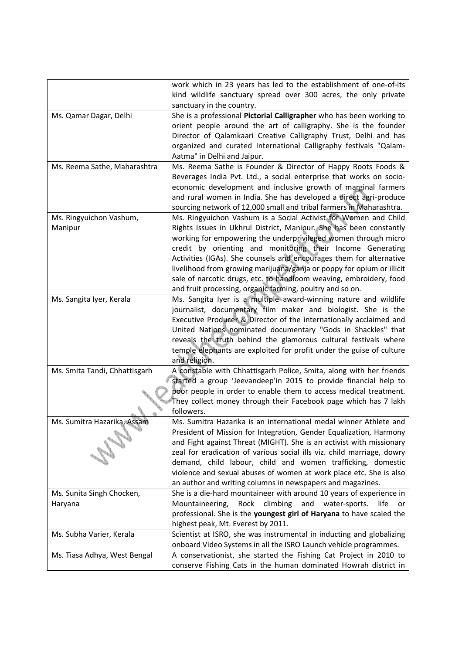|                               |                              | work which in 23 years has led to the establishment of one-of-its         |
|-------------------------------|------------------------------|---------------------------------------------------------------------------|
|                               |                              | kind wildlife sanctuary spread over 300 acres, the only private           |
|                               |                              | sanctuary in the country.                                                 |
| Ms. Qamar Dagar, Delhi        |                              | She is a professional Pictorial Calligrapher who has been working to      |
|                               |                              | orient people around the art of calligraphy. She is the founder           |
|                               |                              | Director of Qalamkaari Creative Calligraphy Trust, Delhi and has          |
|                               |                              | organized and curated International Calligraphy festivals "Qalam-         |
|                               |                              |                                                                           |
|                               |                              | Aatma" in Delhi and Jaipur.                                               |
|                               | Ms. Reema Sathe, Maharashtra | Ms. Reema Sathe is Founder & Director of Happy Roots Foods &              |
|                               |                              | Beverages India Pvt. Ltd., a social enterprise that works on socio-       |
|                               |                              | economic development and inclusive growth of marginal farmers             |
|                               |                              | and rural women in India. She has developed a direct agri-produce         |
|                               |                              | sourcing network of 12,000 small and tribal farmers in Maharashtra.       |
| Ms. Ringyuichon Vashum,       |                              | Ms. Ringyuichon Vashum is a Social Activist for Women and Child           |
| Manipur                       |                              | Rights Issues in Ukhrul District, Manipur. She has been constantly        |
|                               |                              | working for empowering the underprivileged women through micro            |
|                               |                              | credit by orienting and monitoring their Income Generating                |
|                               |                              | Activities (IGAs). She counsels and encourages them for alternative       |
|                               |                              | livelihood from growing marijuana/ganja or poppy for opium or illicit     |
|                               |                              | sale of narcotic drugs, etc. to handloom weaving, embroidery, food        |
|                               |                              | and fruit processing, organic farming, poultry and so on.                 |
|                               |                              |                                                                           |
| Ms. Sangita Iyer, Kerala      |                              | Ms. Sangita Iyer is a multiple award-winning nature and wildlife          |
|                               |                              | journalist, documentary film maker and biologist. She is the              |
|                               |                              | Executive Producer & Director of the internationally acclaimed and        |
|                               |                              | United Nations nominated documentary "Gods in Shackles" that              |
|                               |                              | reveals the truth behind the glamorous cultural festivals where           |
|                               |                              | temple elephants are exploited for profit under the guise of culture      |
|                               |                              | and religion.                                                             |
| Ms. Smita Tandi, Chhattisgarh |                              | A constable with Chhattisgarh Police, Smita, along with her friends       |
|                               |                              | started a group 'Jeevandeep'in 2015 to provide financial help to          |
|                               |                              | poor people in order to enable them to access medical treatment.          |
|                               |                              | They collect money through their Facebook page which has 7 lakh           |
|                               |                              | followers.                                                                |
| Ms. Sumitra Hazarika, Assam   |                              | Ms. Sumitra Hazarika is an international medal winner Athlete and         |
|                               |                              | President of Mission for Integration, Gender Equalization, Harmony        |
|                               |                              | and Fight against Threat (MIGHT). She is an activist with missionary      |
|                               |                              |                                                                           |
|                               |                              | zeal for eradication of various social ills viz. child marriage, dowry    |
|                               |                              | demand, child labour, child and women trafficking, domestic               |
|                               |                              | violence and sexual abuses of women at work place etc. She is also        |
|                               |                              | an author and writing columns in newspapers and magazines.                |
| Ms. Sunita Singh Chocken,     |                              | She is a die-hard mountaineer with around 10 years of experience in       |
| Haryana                       |                              | climbing<br>Mountaineering,<br>Rock<br>and<br>water-sports.<br>life<br>or |
|                               |                              | professional. She is the youngest girl of Haryana to have scaled the      |
|                               |                              | highest peak, Mt. Everest by 2011.                                        |
| Ms. Subha Varier, Kerala      |                              | Scientist at ISRO, she was instrumental in inducting and globalizing      |
|                               |                              | onboard Video Systems in all the ISRO Launch vehicle programmes.          |
| Ms. Tiasa Adhya, West Bengal  |                              | A conservationist, she started the Fishing Cat Project in 2010 to         |
|                               |                              | conserve Fishing Cats in the human dominated Howrah district in           |
|                               |                              |                                                                           |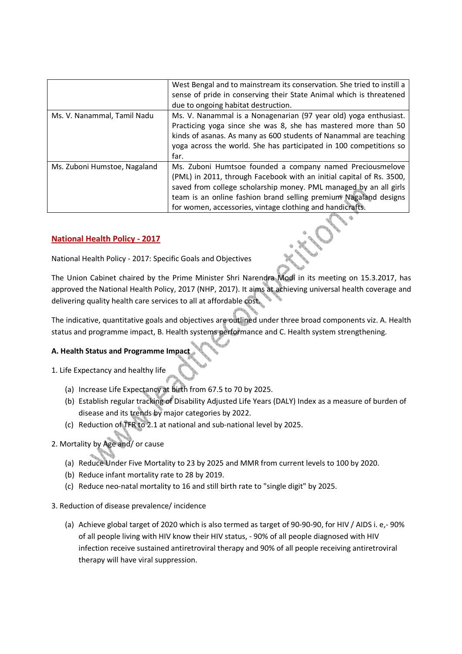|                              | West Bengal and to mainstream its conservation. She tried to instill a<br>sense of pride in conserving their State Animal which is threatened<br>due to ongoing habitat destruction.                                                                                                                                                    |
|------------------------------|-----------------------------------------------------------------------------------------------------------------------------------------------------------------------------------------------------------------------------------------------------------------------------------------------------------------------------------------|
| Ms. V. Nanammal, Tamil Nadu  | Ms. V. Nanammal is a Nonagenarian (97 year old) yoga enthusiast.<br>Practicing yoga since she was 8, she has mastered more than 50<br>kinds of asanas. As many as 600 students of Nanammal are teaching<br>yoga across the world. She has participated in 100 competitions so<br>far.                                                   |
| Ms. Zuboni Humstoe, Nagaland | Ms. Zuboni Humtsoe founded a company named Preciousmelove<br>(PML) in 2011, through Facebook with an initial capital of Rs. 3500,<br>saved from college scholarship money. PML managed by an all girls<br>team is an online fashion brand selling premium Nagaland designs<br>for women, accessories, vintage clothing and handicrafts. |

### **National Health Policy - 2017**

National Health Policy - 2017: Specific Goals and Objectives

The Union Cabinet chaired by the Prime Minister Shri Narendra Modi in its meeting on 15.3.2017, has approved the National Health Policy, 2017 (NHP, 2017). It aims at achieving universal health coverage and delivering quality health care services to all at affordable cost.

The indicative, quantitative goals and objectives are outlined under three broad components viz. A. Health status and programme impact, B. Health systems performance and C. Health system strengthening.

### **A. Health Status and Programme Impact**

- 1. Life Expectancy and healthy life
	- (a) Increase Life Expectancy at birth from 67.5 to 70 by 2025.
	- (b) Establish regular tracking of Disability Adjusted Life Years (DALY) Index as a measure of burden of disease and its trends by major categories by 2022.
	- (c) Reduction of TFR to 2.1 at national and sub-national level by 2025.

### 2. Mortality by Age and/ or cause

- (a) Reduce Under Five Mortality to 23 by 2025 and MMR from current levels to 100 by 2020.
- (b) Reduce infant mortality rate to 28 by 2019.
- (c) Reduce neo-natal mortality to 16 and still birth rate to "single digit" by 2025.
- 3. Reduction of disease prevalence/ incidence
	- (a) Achieve global target of 2020 which is also termed as target of 90-90-90, for HIV / AIDS i. e,- 90% of all people living with HIV know their HIV status, - 90% of all people diagnosed with HIV infection receive sustained antiretroviral therapy and 90% of all people receiving antiretroviral therapy will have viral suppression.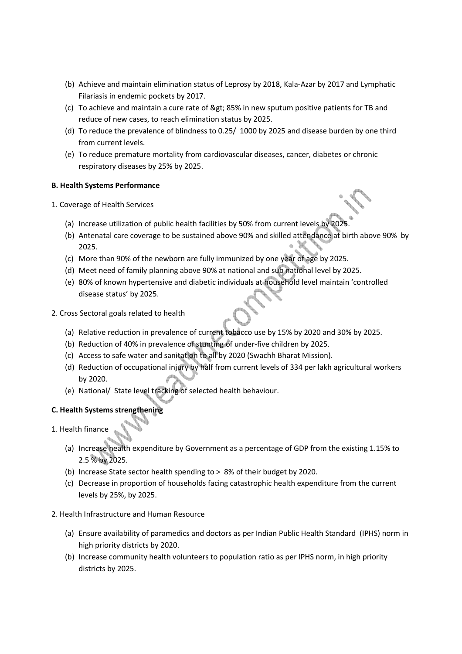- (b) Achieve and maintain elimination status of Leprosy by 2018, Kala-Azar by 2017 and Lymphatic Filariasis in endemic pockets by 2017.
- (c) To achieve and maintain a cure rate of > 85% in new sputum positive patients for TB and reduce of new cases, to reach elimination status by 2025.
- (d) To reduce the prevalence of blindness to 0.25/ 1000 by 2025 and disease burden by one third from current levels.
- (e) To reduce premature mortality from cardiovascular diseases, cancer, diabetes or chronic respiratory diseases by 25% by 2025.

### **B. Health Systems Performance**

- 1. Coverage of Health Services
	- (a) Increase utilization of public health facilities by 50% from current levels by 2025.
	- (b) Antenatal care coverage to be sustained above 90% and skilled attendance at birth above 90% by 2025.
	- (c) More than 90% of the newborn are fully immunized by one year of age by 2025.
	- (d) Meet need of family planning above 90% at national and sub national level by 2025.
	- (e) 80% of known hypertensive and diabetic individuals at household level maintain 'controlled disease status' by 2025.
- 2. Cross Sectoral goals related to health
	- (a) Relative reduction in prevalence of current tobacco use by 15% by 2020 and 30% by 2025.
	- (b) Reduction of 40% in prevalence of stunting of under-five children by 2025.
	- (c) Access to safe water and sanitation to all by 2020 (Swachh Bharat Mission).
	- (d) Reduction of occupational injury by half from current levels of 334 per lakh agricultural workers by 2020.
	- (e) National/ State level tracking of selected health behaviour.

### **C. Health Systems strengthening**

- 1. Health finance
	- (a) Increase health expenditure by Government as a percentage of GDP from the existing 1.15% to 2.5 % by 2025.
	- (b) Increase State sector health spending to > 8% of their budget by 2020.
	- (c) Decrease in proportion of households facing catastrophic health expenditure from the current levels by 25%, by 2025.
- 2. Health Infrastructure and Human Resource
	- (a) Ensure availability of paramedics and doctors as per Indian Public Health Standard (IPHS) norm in high priority districts by 2020.
	- (b) Increase community health volunteers to population ratio as per IPHS norm, in high priority districts by 2025.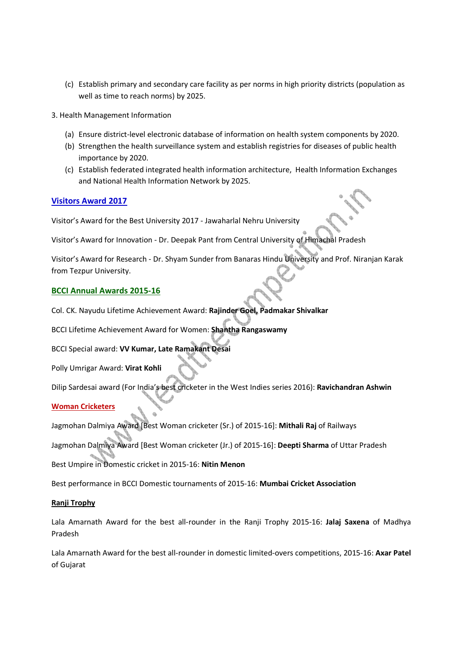- (c) Establish primary and secondary care facility as per norms in high priority districts (population as well as time to reach norms) by 2025.
- 3. Health Management Information
	- (a) Ensure district-level electronic database of information on health system components by 2020.
	- (b) Strengthen the health surveillance system and establish registries for diseases of public health importance by 2020.
	- (c) Establish federated integrated health information architecture, Health Information Exchanges and National Health Information Network by 2025.

### **Visitors Award 2017**

Visitor's Award for the Best University 2017 - Jawaharlal Nehru University

Visitor's Award for Innovation - Dr. Deepak Pant from Central University of Himachal Pradesh

Visitor's Award for Research - Dr. Shyam Sunder from Banaras Hindu University and Prof. Niranjan Karak from Tezpur University.

### **BCCI Annual Awards 2015-16**

Col. CK. Nayudu Lifetime Achievement Award: **Rajinder Goel, Padmakar Shivalkar**

BCCI Lifetime Achievement Award for Women: **Shantha Rangaswamy**

BCCI Special award: **VV Kumar, Late Ramakant Desai**

Polly Umrigar Award: **Virat Kohli**

Dilip Sardesai award (For India's best cricketer in the West Indies series 2016): **Ravichandran Ashwin**

#### **Woman Cricketers**

Jagmohan Dalmiya Award [Best Woman cricketer (Sr.) of 2015-16]: **Mithali Raj** of Railways

Jagmohan Dalmiya Award [Best Woman cricketer (Jr.) of 2015-16]: **Deepti Sharma** of Uttar Pradesh

Best Umpire in Domestic cricket in 2015-16: **Nitin Menon**

Best performance in BCCI Domestic tournaments of 2015-16: **Mumbai Cricket Association**

#### **Ranji Trophy**

Lala Amarnath Award for the best all-rounder in the Ranji Trophy 2015-16: **Jalaj Saxena** of Madhya Pradesh

Lala Amarnath Award for the best all-rounder in domestic limited-overs competitions, 2015-16: **Axar Patel** of Gujarat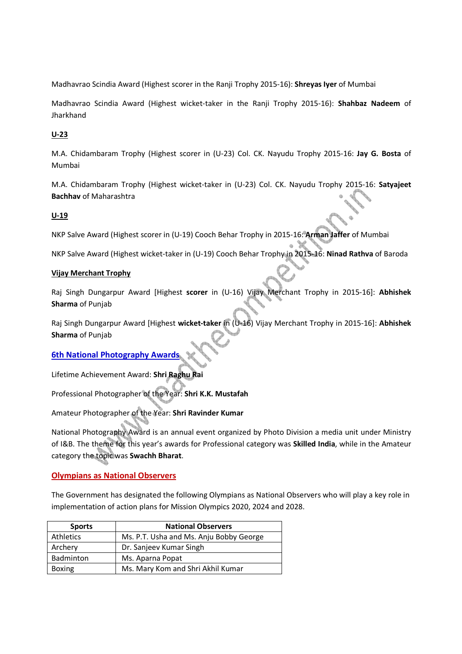Madhavrao Scindia Award (Highest scorer in the Ranji Trophy 2015-16): **Shreyas Iyer** of Mumbai

Madhavrao Scindia Award (Highest wicket-taker in the Ranji Trophy 2015-16): **Shahbaz Nadeem** of Jharkhand

### **U-23**

M.A. Chidambaram Trophy (Highest scorer in (U-23) Col. CK. Nayudu Trophy 2015-16: **Jay G. Bosta** of Mumbai

M.A. Chidambaram Trophy (Highest wicket-taker in (U-23) Col. CK. Nayudu Trophy 2015-16: **Satyajeet Bachhav** of Maharashtra

### **U-19**

NKP Salve Award (Highest scorer in (U-19) Cooch Behar Trophy in 2015-16: **Arman Jaffer** of Mumbai

NKP Salve Award (Highest wicket-taker in (U-19) Cooch Behar Trophy in 2015-16: **Ninad Rathva** of Baroda

#### **Vijay Merchant Trophy**

Raj Singh Dungarpur Award [Highest **scorer** in (U-16) Vijay Merchant Trophy in 2015-16]: **Abhishek Sharma** of Punjab

Raj Singh Dungarpur Award [Highest **wicket-taker** in (U-16) Vijay Merchant Trophy in 2015-16]: **Abhishek Sharma** of Punjab

### **6th National Photography Awards**

Lifetime Achievement Award: **Shri Raghu Rai**

Professional Photographer of the Year: **Shri K.K. Mustafah**

Amateur Photographer of the Year: **Shri Ravinder Kumar**

National Photography Award is an annual event organized by Photo Division a media unit under Ministry of I&B. The theme for this year's awards for Professional category was **Skilled India**, while in the Amateur category the topic was **Swachh Bharat**.

#### **Olympians as National Observers**

The Government has designated the following Olympians as National Observers who will play a key role in implementation of action plans for Mission Olympics 2020, 2024 and 2028.

| <b>Sports</b> | <b>National Observers</b>               |
|---------------|-----------------------------------------|
| Athletics     | Ms. P.T. Usha and Ms. Anju Bobby George |
| Archery       | Dr. Sanjeev Kumar Singh                 |
| Badminton     | Ms. Aparna Popat                        |
| <b>Boxing</b> | Ms. Mary Kom and Shri Akhil Kumar       |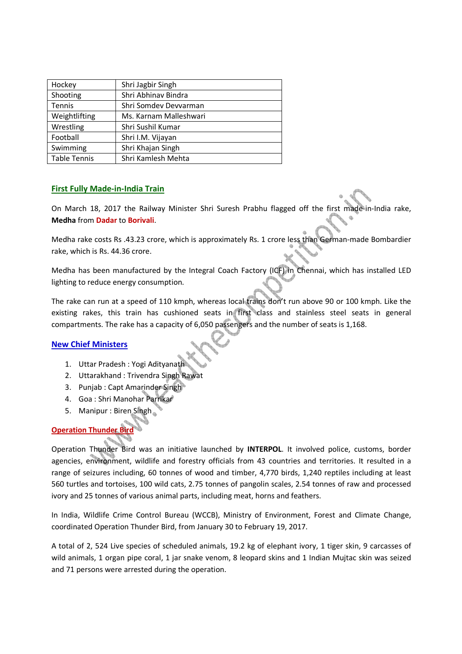| Hockey              | Shri Jagbir Singh      |
|---------------------|------------------------|
| Shooting            | Shri Abhinav Bindra    |
| Tennis              | Shri Somdey Devyarman  |
| Weightlifting       | Ms. Karnam Malleshwari |
| Wrestling           | Shri Sushil Kumar      |
| Football            | Shri I.M. Vijayan      |
| Swimming            | Shri Khajan Singh      |
| <b>Table Tennis</b> | Shri Kamlesh Mehta     |

### **First Fully Made-in-India Train**

On March 18, 2017 the Railway Minister Shri Suresh Prabhu flagged off the first made-in-India rake, **Medha** from **Dadar** to **Borivali**.

Medha rake costs Rs .43.23 crore, which is approximately Rs. 1 crore less than German-made Bombardier rake, which is Rs. 44.36 crore.

Medha has been manufactured by the Integral Coach Factory (ICF) in Chennai, which has installed LED lighting to reduce energy consumption.

The rake can run at a speed of 110 kmph, whereas local trains don't run above 90 or 100 kmph. Like the existing rakes, this train has cushioned seats in first class and stainless steel seats in general compartments. The rake has a capacity of 6,050 passengers and the number of seats is 1,168.

### **New Chief Ministers**

- 1. Uttar Pradesh : Yogi Adityanath
- 2. Uttarakhand : Trivendra Singh Rawat
- 3. Punjab : Capt Amarinder Singh
- 4. Goa : Shri Manohar Parrikar
- 5. Manipur : Biren Singh

# **Operation Thunder Bird**

Operation Thunder Bird was an initiative launched by **INTERPOL**. It involved police, customs, border agencies, environment, wildlife and forestry officials from 43 countries and territories. It resulted in a range of seizures including, 60 tonnes of wood and timber, 4,770 birds, 1,240 reptiles including at least 560 turtles and tortoises, 100 wild cats, 2.75 tonnes of pangolin scales, 2.54 tonnes of raw and processed ivory and 25 tonnes of various animal parts, including meat, horns and feathers.

In India, Wildlife Crime Control Bureau (WCCB), Ministry of Environment, Forest and Climate Change, coordinated Operation Thunder Bird, from January 30 to February 19, 2017.

A total of 2, 524 Live species of scheduled animals, 19.2 kg of elephant ivory, 1 tiger skin, 9 carcasses of wild animals, 1 organ pipe coral, 1 jar snake venom, 8 leopard skins and 1 Indian Mujtac skin was seized and 71 persons were arrested during the operation.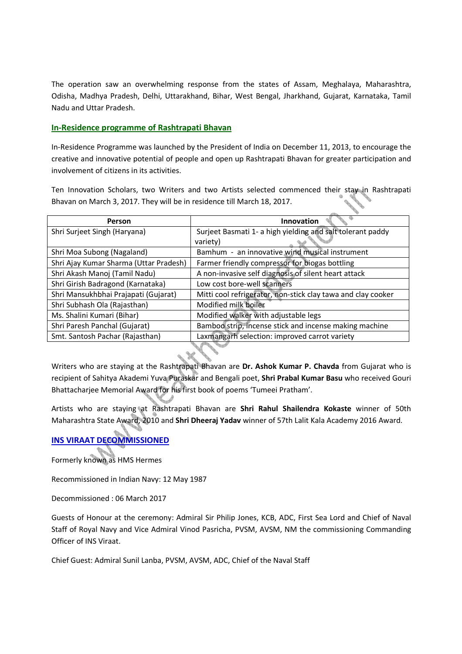The operation saw an overwhelming response from the states of Assam, Meghalaya, Maharashtra, Odisha, Madhya Pradesh, Delhi, Uttarakhand, Bihar, West Bengal, Jharkhand, Gujarat, Karnataka, Tamil Nadu and Uttar Pradesh.

### **In-Residence programme of Rashtrapati Bhavan**

In-Residence Programme was launched by the President of India on December 11, 2013, to encourage the creative and innovative potential of people and open up Rashtrapati Bhavan for greater participation and involvement of citizens in its activities.

Ten Innovation Scholars, two Writers and two Artists selected commenced their stay in Rashtrapati Bhavan on March 3, 2017. They will be in residence till March 18, 2017.

| Person                                 | <b>Innovation</b>                                            |
|----------------------------------------|--------------------------------------------------------------|
| Shri Surjeet Singh (Haryana)           | Surjeet Basmati 1- a high yielding and salt tolerant paddy   |
|                                        | variety)                                                     |
| Shri Moa Subong (Nagaland)             | Bamhum - an innovative wind musical instrument               |
| Shri Ajay Kumar Sharma (Uttar Pradesh) | Farmer friendly compressor for biogas bottling               |
| Shri Akash Manoj (Tamil Nadu)          | A non-invasive self diagnosis of silent heart attack         |
| Shri Girish Badragond (Karnataka)      | Low cost bore-well scanners                                  |
| Shri Mansukhbhai Prajapati (Gujarat)   | Mitti cool refrigerator, non-stick clay tawa and clay cooker |
| Shri Subhash Ola (Rajasthan)           | Modified milk boiler                                         |
| Ms. Shalini Kumari (Bihar)             | Modified walker with adjustable legs                         |
| Shri Paresh Panchal (Gujarat)          | Bamboo strip, incense stick and incense making machine       |
| Smt. Santosh Pachar (Rajasthan)        | Laxmangarh selection: improved carrot variety                |

Writers who are staying at the Rashtrapati Bhavan are **Dr. Ashok Kumar P. Chavda** from Gujarat who is recipient of Sahitya Akademi Yuva Puraskar and Bengali poet, **Shri Prabal Kumar Basu** who received Gouri Bhattacharjee Memorial Award for his first book of poems 'Tumeei Pratham'.

Artists who are staying at Rashtrapati Bhavan are **Shri Rahul Shailendra Kokaste** winner of 50th Maharashtra State Award, 2010 and **Shri Dheeraj Yadav** winner of 57th Lalit Kala Academy 2016 Award.

# **INS VIRAAT DECOMMISSIONED**

Formerly known as HMS Hermes

Recommissioned in Indian Navy: 12 May 1987

Decommissioned : 06 March 2017

Guests of Honour at the ceremony: Admiral Sir Philip Jones, KCB, ADC, First Sea Lord and Chief of Naval Staff of Royal Navy and Vice Admiral Vinod Pasricha, PVSM, AVSM, NM the commissioning Commanding Officer of INS Viraat.

Chief Guest: Admiral Sunil Lanba, PVSM, AVSM, ADC, Chief of the Naval Staff